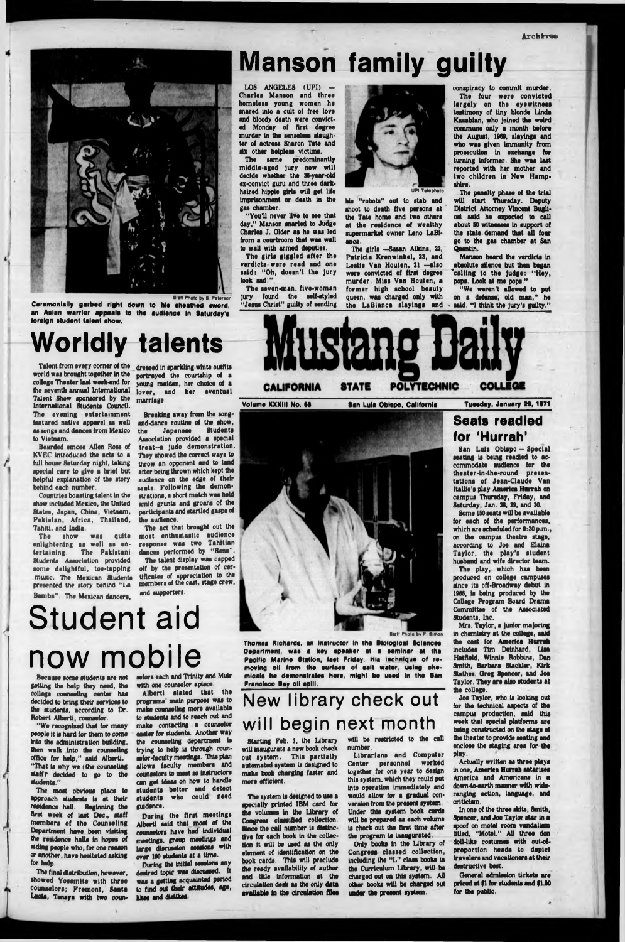

**Staff Photo by 8** Peters

**Ceremonially garbed right down to hie eheathed eword, an Aalan warrior appaale to the audlenoe In Saturday's foreign student talent show.**

Talent from every comer of the dressed in sparkling white outfits world was brought together in the college Theater last week-end for the seventh annual International<br>Talent Show sponsored by the International Students Council. The evening entertainment featured native apparel aa well as songs and dances from Mexico to Vietnam.

Bearded emcee Allen Rosa of KVEC Introduced the acts to a full house Saturday night, taking special care to give a brief but helpful explanation of the story behind each number.

Countries boasting talent In the show Included Mexico, the United States, Japan, China, Vietnam, Pakistan, Africa, Thailand, Tahiti, and India.

The act that brought out the most enthusiastic audience response was two Tahitian dances performed by "Rene".

The show was quite enlightening as well as entertaining. The Pakistani Students Association provided some delightful, toe-tapping music. The Mexican Students presented the story behind "La Bamba". The Mexican dancers,

"We recognized that for many people it Is hard for them to come into the administration building, then walk Into the counseling office for help," said Alberti. "That is why we (the counseling staff  $r$  decided to go to the students."

portrayed the courtahlp of a young maiden, her choice of a lover, and her eventual marriage.

The most obvious place to approach students is at their residence hall. Beginning the first week of last Dec,, staff members of the Counseling Department have been visiting the residence halls In hopes of aiding people who, for one reason or another, have hesitated asking (or help.

The final distribution, however, showed Yosemite with three counselors; Fremont, Santa Lucia, Tenaya with two coun-

Breaking away from the songand-dance routine of the show,<br>the **Japanese** Students the Japanese Students Association provided a special tre a t-a Judo demonstration. treat--a judo demonstration.<br>They showed the correct ways to throw an opponent and to land alter being thrown which kept the audience on the edge of their seats. Following the demonstrations, a short match was held amid grunts and groans of the participants and startled gasps of

The talent display was capped off by the presentation of certificates of appreciation to the members of the cast, stage crew, and supporters.

Because some students are not getting the help they need, the college counseling center has decided to bring their services to the students, according to Dr. Robert Alberti, counselor.

The same predominantly middle-aged Jury now will decide whether the 36-year-old ex-convict guru and three darkhaired hippie girls will get life Imprisonment or death In the gas chamber.

The girls giggled after the verdicts were read and one said: "Oh, doesn't the jury look sad!"

The seven-man, five-woman Jury found the self-styled "Jesus Christ" guilty of sending his "robots" out to stab and shoot to death five persons at<br>the Tate home and two others at the residence of wealthy supermarket owner Leno LaBi-<br>anca.

selors each and Trinity and Muir with one counselor apiece.

"We weren't allowed to put on a defense, old man," he

Alberti stated that the programs' main purpose was to make counseling more available to students and to reach out and make contacting a counselor easier for students. Another way the counseling department is<br>trying to help is through counselor-faculty meetings. This plan allows faculty members and counselors to meet so Instructors can get ideas on how to handle<br>students better and detect students who could need guidence.

During the first meetings Alberti said that most of the counselors have had individual meetings, group meetings and large discussion sessions with<br>over 100 students at a time. During the initial sessions any desired topic was discussed. It was a getting acquainted period to find out their attitudes, age, likes and dislikes.

Librarians and Computer Center personnel worked together for one year to design this system, which they could put into operation Immediately and would allow for a gradual conversion from the present system. Under this system book cards will be prepared as each volume is check out the first time after the program Is Inaugurated.

Student aid

# now mobile

## **Worldly talents**

**Manson family guilty**

LOS ANGELES (UPI) -Charles Manson and three homeless young women he snared Into a cult of free love and bloody death were convicted Monday of first degree murder In the senseless slaughter of actress Sharon Tate and<br>six other helpless victims.

> Mrs. Taylor, a junior majoring In chemistry at the college, said

"You'll never live to see that day," Manson snarled to Judge Charles J. Older as he was led from a courtroom that was wall to wall with armed deputies.

> Joe Taylor, who is looking out for the technical aspects of the campus production, said this week that special platforms are being constructed on the stage of the theater to provide seating and enclose the staging area for the

> play.<br>Actually written as three plays<br>in one, America Hurrah satarizes<br>America and Americans in a down-to-earth manner with wideranging action, language, and



UPI Talaphoto

In one of the three skits, Smith, Spencer, and Joe Taylor star in a spoof on motel room vandalism titled, "Motel." All three don doll-like costumes with out-ofproportion heads to depict travelers and vacationers at their destructive best.

anca. The girls —Susan Atkins, 22, Patricia Krenwlnkel, 23, and Leslie Van Houten, 21 —also were convicted of first degree murder. Miss Van Houten, a former high school beauty queen, was charged only with





Volume XXXIII No. 68 **• • San Lula Obispo, California Tuesday, January 26, 1971** 

conspiracy to commit murder. The four were convicted largely on the eyewitness testimony of tiny blonde Linda Kaaablan, who Joined the weird commune only a month before the August, 1969, slayings and who was given Immunity from prosecution In exchange for turning Informer. She waa last reported with her mother and two children in New Hampshire.

The penalty phase of the trial will start Thursday. Deputy District Attorney Vincent Buglloai said he expected to call about SO witnesses In support of the state demand that all four go to the gas chamber at 8an Quentin.

Manson heard the verdicts In absolute alienee but then began 'calling to the Judge: "Hey, pops. Look at me pops."

**Thomas Richards, an Inatructor In tha Biological Bclancas Department, was a key apeaker at a seminar at tha** Pacific Marine Station, last Friday. Hia Inchnique of re**moving oil from the surface of salt water, using chemicals ha demonstrates here, might be used In the Ban Francisco Bay oil solll.**

Starting Feb. 1, the Library will Inaugurate a new book check out system. This partially automated system la designed to make book charging faster and more efficient.

The system Is designed to use a specially printed IBM card for the volumes in the Library of Congress classified collection. Since the call number is distinctive for each book In the collection it will be used as the only element of identification on the book cards. This will preclude the ready availability of author and title information at the circulation desk as the only data available In the circulation flics

will be restricted to the call number.

**Staff Photo by P. Simon** 

Only books In the Library of Congress classed collection, Including the "L" class books In the Curriculum Library, will be charged out on this system. All other books will be charged out under the present system.

### **Seats readied for 'Hurrah'**

San Luis Obispo — Special seating Is being readied to accommodate audience for the<br>theater-in-the-round presentations of Jean-Claude Van Itallie's play America Hurrah on campus Thursday, Friday, and Saturday, Jan. 28, 29, and 30.

Some ISO seats will be available for each of the performances, which are scheduled for 8:30 p.m., on the campus theatre stage, according to Joe and Elaine Taylor, the play's student husband and wife director team. The play, which has been

produced on college campuses since its off-Broadway debut in 1966, Is being produced by the College Program Board Drama Committee of the Associated

the cast for America Hurrah includes Tim Delnhard, Lisa Smith, Barbara Stackler, Kirk Stathes, Greg Spencer, and Joe Taylor. They are also students at

General admission tickets are priced at \$1 for students and \$1.50 for the public.

**New library check out will begin next month**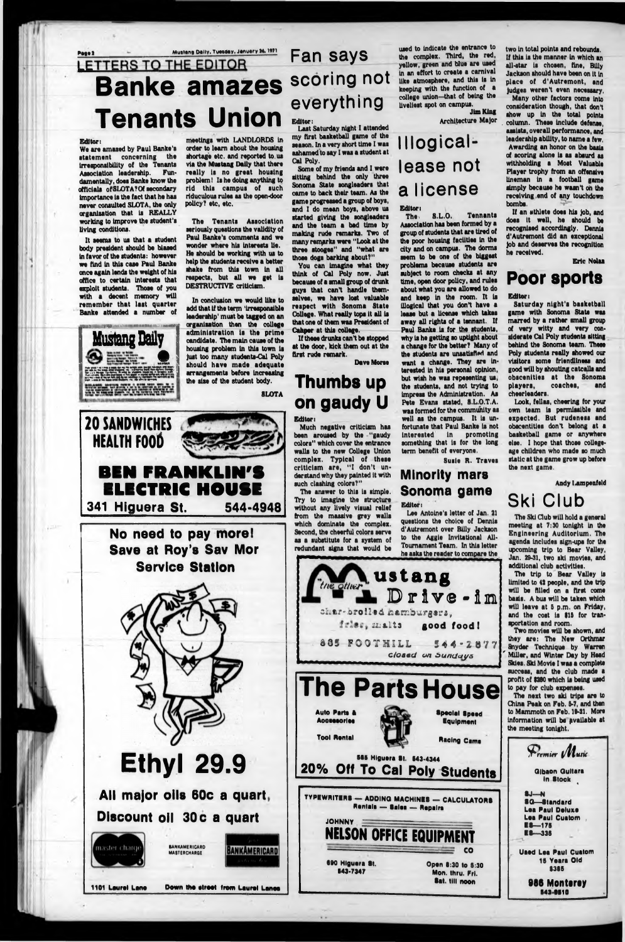## Mustang Daily, Tuesday, January 26, 1971 LETTERS TO THE EDITOR **Banke amazes Tenants Union**

### Editor:

We are amazed by Paul Banke's statement concerning the irresponsibility of the Tenants Association leadership. Fundamentally, does Banke know the officials of SLOTA? Of secondary importance is the fact that he has never consulted SLOTA, the only organization that is REALLY working to improve the student's living conditions.

It seems to us that a student body president should be biased in favor of the students: however we find in this case Paul Banke once again lends the weight of his office to certain interests that exploit students. Those of you with a decent memory will remember that last quarter Banke attended a number of

**Mustang Baily** 

meetings with LANDLORDS in order to learn about the housing shortage etc. and reported to us via the Mustang Daily that there really is no great housing problem! Is he doing anything to rid this campus of such riduculous rules as the open-door policy? etc. etc.

The Tenants Association seriously questions the validity of Paul Banke's comments and we wonder where his interests lie. He should be working with us to help the students receive a better shake from this town in all respects, but all we get is DESTRUCTIVE criticism.

In conclusion we would like to add that if the term 'irresponsible leadership' must be tagged on an organization then the college administration is the prime candidate. The main cause of the housing problem in this town is just too many students-Cal Poly should have made adequate arrangements before increasing the size of the student body.

**SLOTA** 



## **Fan says** scoring not everything Editor:

Last Saturday night I attended my first basketball game of the season. In a very short time I was ashamed to say I was a student at Cal Poly.

Some of my friends and I were sitting behind the only three Sonoma State songleaders that came to back their team. As the game progressed a group of boys, and I do mean boys, above us started giving the songleaders and the team a bad time by making rude remarks. Two of many remarks were "Look at the three stooges" and "what are those dogs barking about?"

You can imagine what they think of Cal Poly now. Just because of a small group of drunk guys that can't handle themselves, we have lost valuable reapect with Sonoma State College. What really tops it all is that one of them was President of Cahner at this college.

If these drunks can't be stopped at the door, kick them out at the first rude remark.

**Dave Morse** 

## Thumbs up on gaudy U

used to indicate the entrance to the complex. Third, the red, vellow, green and blue are used in an effort to create a carnival like atmosphere, and this is in keeping with the function of a college union-that of being the liveliest spot on campus. **Jim King** 

Architecture Major

## Illogicallease not a license

### **Editor:**

The. **8.L.O. Tennants** Association has been formed by a group of students that are tired of the poor housing facilities in the city and on campus. The dorms mem to be one of the biggest problems because students are subject to room checks at any time, open door policy, and rules about what you are allowed to do and keep in the room. It is illogical that you don't have a lease but a license which takes away all rights of a tennant. If Paul Banke is for the students. why is he getting so uptight about a change for the better? Many of the students are unsatisfied and want a change. They are interested in his personal opinion, but wish he was repesenting us. the students, and not trying to impress the Administration. As Pete Evans stated, S.L.O.T.A.



two in total points and rebounds. If this is the manner in which an all-star is chosen, fine, Billy Jackson should have been on it in place of d'Autremont, and judges weren't even necessary.

Many other factors come into consideration though, that don't show up in the total points column. These include defense. assists, overall performance, and leadership ability, to name a few. Awarding an honor on the basis of scoring alone is as absurd as withholding a Most Valuable Player trophy from an offensive lineman in a football game simply because he wasn't on the receiving end of any touchdown bombs.

If an athlete does his job, and does it well, he should be recognised accordingly. Dennis d'Autremont did an exceptional job and deserves the recognition he received.

**Eric Nolan** 

### **Poor sports**

### **Editor:**

Saturday night's basketball game with Sonoma State was marred by a rather small group of very witty and very considerate Cal Poly students sitting behind the Sonoma team. These Poly students really showed our visitors some friendliness and good will by shouting catcalls and obscenities at the Sonoma coaches, players, and cheerleaders.

Look, fellas, cheering for your own team is permissible and expected. But rudeness and obacentities don't belong at a basketball game or anywhere else. I hope that those collegeage children who made so much static at the game grow up before

Andy Lampenfeld

## **Ski Club**

The Ski Club will hold a general meeting at 7:30 tonight in the **Engineering Auditorium. The** agenda includes sign-ups for the upcoming trip to Bear Valley, Jan. 29-31, two ski movies, and additional club activities.

The trip to Bear Valley is limited to 42 people, and the trip will be filled on a first come basis. A bus will be taken which will leave at 5 p.m. on Friday, and the cost is \$15 for transportation and room.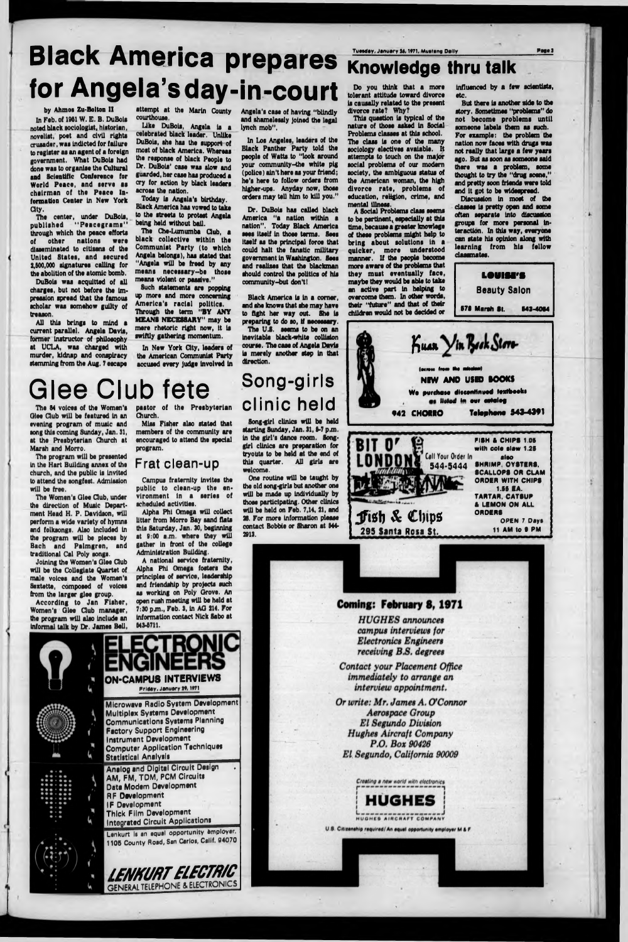# **Black America prepares for Angela's day-in-court**

by Ahmoa Zu-Bolton II

In Feb. of 1951 W. E. B. DuBois noted black aoclologlat, historian, noveliat, poet and civil rlghta **crusader,** was Indicted for failure to register as an agent of a foreign government. What DuBola had done waa to organise the Cultural and Scientific Conference for World Peace, and serve as chairman of the Peace Information Center in New York<br>City.

The center, under DuBois, published "Peacegrams" through which the peace efforts of other nations were disseminated to citlsens of the United States, and secured 2,500,000 signatures calling for the abolition of the atomic bomb,

DuBola was acquitted of all charges, but not before the Impression spread that the famous scholar was somehow guilty of treason.

All this brings to mind a current parallel. Angela Davis, former Instructor of philosophy at UCLA, was charged with murder, kidnap and conspiracy stemming from the Aug. 7 escape attempt at the Marin County courthouse.

Like DuBois, Angela is a celebrated black leader. Unlike DuBols, she has the support of most of black America. Whereas the response of black People to Dr. DuBola' case was slow and guarded, her case has produced a cry for action by black leaders across the nation.

The 84 voices of the Women's Qlee Gub will be featured In an evening program of music and song this coming Sunday, Jan. 31, at the Presbyterian Church at Marsh and Morro.

Today Is Angela's birthday. Black America has vowed to take to the streets to protest Angola being held without bail.

The Che-Lumumba Club, a black collective within the Communist Party (to which Angela belongs), has stated that "Angela will be freed by any means necessary~be those means violent or piusivo."

Such statements ars popping up more and more concerning America's racial politics.<br>Through the term "BY ANY MEANS NECESSARY" may be more rhetoric right now, it Is swiftly gathering momentum.

In New York City, leaders of the American Communist Party accused every Judge Involved In

# **G lee Club fete**

The program will be presented In the Hart Building annex of the church, and the public is invited to attend the songfest. Admission will be free,

The Women's Qlee Gub, under the direction of Music Department Head H. P. Davidson, will perform a wide variety of hymns and folksongs. Also Included In the program will be pieces by Bach and Palmgren, and traditional Cal Poly songs.

The U.S. seems to be on an Inevitable Mack-white collision course. The case of Angela Davis is merely another step In that direction.

## **Knowledge thru talk**

starting Sunday, Jan. 31, 8-7 p.m. In the girl's dance room. Songgirl clinics are preparation for tryouts to be held at the end of this quarter. All girls are

Joining the Women's Qlee Gub will be the Collegiate Quartet of male voices and the Women's Sextette, composed of voices from the larger glee group.

One routine will be taught by the old song-girls but another one will be made up Individually by those participating. Other clinics will be held on Feb. 7,14, 21, and 28. For more Information please contact Bobbie or Sharon at 544- 2913.

According to Jan Fisher, Women's Qlee Gub manager, the program will also Include an Informal talk by Dr. James Bell,

pastor of the Presbyterian Church.

Miss Fisher also stated that members of the community are encouraged to attend the special program.

tolerant attitude toward divorce is causally related to the present divorce rate? Why? This question is typical of the nature of those asked in Social Problems classes at this school. The class is one of the many sociology electives avaiable. H attempts to touch on the major social problems of our modern society, the ambiguous status of the American woman, the high divorce rate, problems of education, religion, crime, and

A Social Problems class seems<br>to be pertinent, especially at this<br>time, because a greater knowlege<br>of these problems might help to bring about solutions in a<br>quicker, more understood<br>manner. If the people become<br>more aware of the problems that<br>they must eventually face,<br>maybe they would be able to take<br>an active part in helping to<br>overcome them. In ot

### **Frat clean-up**

Campus fraternity Invites the public to clean-up the en-<br>vironment in a series of scheduled activities.

Alpha Phi Omega will collect litter from Morro Bay sand flats this Saturday, Jan. 30, beginning at 9:00 a.m. where they will gather in front of the college Administration Building.

A national service fraternity, Alpha Phi Omega fosters the principles of service, leadership and friendship by projects such as working on Poly Drove. An open rush meeting will be held at 7:30 p.m., Feb. 3, in AG 214. For information contact Nick Sabo at 543-5711.

etc.<br>But there is another side to the story. Sometimes "problems" do not become problems until someone labels them as such. For example: the problem the<br>nation now faces with drugs was not really that large a few years<br>ago. But as soon as someone said there was a problem, some thought to try the "drug scene," and pretty soon friends were told and It got to be widespread. Discussion In most of the

classes is pretty open and some<br>often separate into discussion groups for more personal interaction. In this way, everyone can state his opinion along with learning from his fellow classmates.



Angela's case of having "blindly and shamelessly Joined the legal lynch mob".

In Los Angeles, leaders of the Black Panther Party told the people of Watts to "look around your community-the white pig (police) ain't here as your friend; he's here to follow orders from higher-ups. Anyday now, those orders may tell him to kill you."

Dr. DuBols has called black America "a nation within a nation". Today Black America<br>sees itself in those terms. Sees itself as the principal force that could halt the fanatic military government In Washington. Sees and realises that the blackman should control the politics of his community-but don't!

Black America Is in a comer, and she knows that die may have to fight her way out. She is preparing to do so, If necessary.

**Song-girls clinic held** Song-girl clinics will be held Do you think that a more

Influenced by a few scientists,



**L O U I M ' S Beauty Salon**

*receiving BB. degrees*

*Contact your Placement Office immediately to arrange an interview appointment.*

*Or write: Mr. James A. O'Connor Aerospace Group El Segundo Division Hughes Aircraft Company P.O. Box 90426 El Segundo, California 90009*



U.S. Citizenship required/ An equal opportunity employer M & F